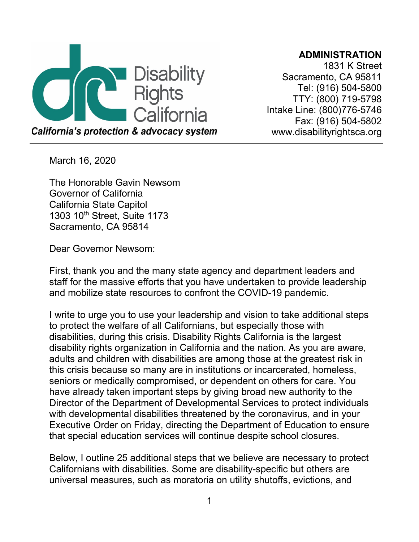

**ADMINISTRATION**

1831 K Street Sacramento, CA 95811 Tel: (916) 504-5800 TTY: (800) 719-5798 Intake Line: (800)776-5746 Fax: (916) 504-5802 [www.disabilityrightsca.org](http://www.disabilityrightsca.org/)

March 16, 2020

The Honorable Gavin Newsom Governor of California California State Capitol 1303 10th Street, Suite 1173 Sacramento, CA 95814

Dear Governor Newsom:

First, thank you and the many state agency and department leaders and staff for the massive efforts that you have undertaken to provide leadership and mobilize state resources to confront the COVID-19 pandemic.

I write to urge you to use your leadership and vision to take additional steps to protect the welfare of all Californians, but especially those with disabilities, during this crisis. Disability Rights California is the largest disability rights organization in California and the nation. As you are aware, adults and children with disabilities are among those at the greatest risk in this crisis because so many are in institutions or incarcerated, homeless, seniors or medically compromised, or dependent on others for care. You have already taken important steps by giving broad new authority to the Director of the Department of Developmental Services to protect individuals with developmental disabilities threatened by the coronavirus, and in your Executive Order on Friday, directing the Department of Education to ensure that special education services will continue despite school closures.

Below, I outline 25 additional steps that we believe are necessary to protect Californians with disabilities. Some are disability-specific but others are universal measures, such as moratoria on utility shutoffs, evictions, and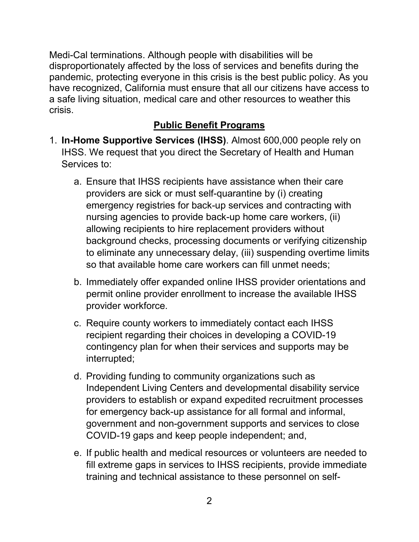Medi-Cal terminations. Although people with disabilities will be disproportionately affected by the loss of services and benefits during the pandemic, protecting everyone in this crisis is the best public policy. As you have recognized, California must ensure that all our citizens have access to a safe living situation, medical care and other resources to weather this crisis.

### **Public Benefit Programs**

- 1. **In-Home Supportive Services (IHSS)**. Almost 600,000 people rely on IHSS. We request that you direct the Secretary of Health and Human Services to:
	- a. Ensure that IHSS recipients have assistance when their care providers are sick or must self-quarantine by (i) creating emergency registries for back-up services and contracting with nursing agencies to provide back-up home care workers, (ii) allowing recipients to hire replacement providers without background checks, processing documents or verifying citizenship to eliminate any unnecessary delay, (iii) suspending overtime limits so that available home care workers can fill unmet needs;
	- b. Immediately offer expanded online IHSS provider orientations and permit online provider enrollment to increase the available IHSS provider workforce.
	- c. Require county workers to immediately contact each IHSS recipient regarding their choices in developing a COVID-19 contingency plan for when their services and supports may be interrupted;
	- d. Providing funding to community organizations such as Independent Living Centers and developmental disability service providers to establish or expand expedited recruitment processes for emergency back-up assistance for all formal and informal, government and non-government supports and services to close COVID-19 gaps and keep people independent; and,
	- e. If public health and medical resources or volunteers are needed to fill extreme gaps in services to IHSS recipients, provide immediate training and technical assistance to these personnel on self-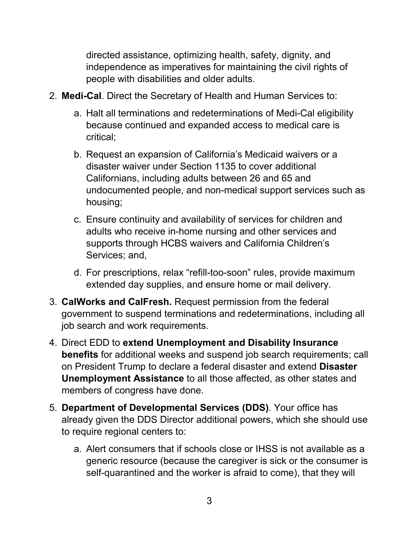directed assistance, optimizing health, safety, dignity, and independence as imperatives for maintaining the civil rights of people with disabilities and older adults.

- 2. **Medi-Cal**. Direct the Secretary of Health and Human Services to:
	- a. Halt all terminations and redeterminations of Medi-Cal eligibility because continued and expanded access to medical care is critical;
	- b. Request an expansion of California's Medicaid waivers or a disaster waiver under Section 1135 to cover additional Californians, including adults between 26 and 65 and undocumented people, and non-medical support services such as housing;
	- c. Ensure continuity and availability of services for children and adults who receive in-home nursing and other services and supports through HCBS waivers and California Children's Services; and,
	- d. For prescriptions, relax "refill-too-soon" rules, provide maximum extended day supplies, and ensure home or mail delivery.
- 3. **CalWorks and CalFresh.** Request permission from the federal government to suspend terminations and redeterminations, including all job search and work requirements.
- 4. Direct EDD to **extend Unemployment and Disability Insurance benefits** for additional weeks and suspend job search requirements; call on President Trump to declare a federal disaster and extend **Disaster Unemployment Assistance** to all those affected, as other states and members of congress have done.
- 5. **Department of Developmental Services (DDS)**. Your office has already given the DDS Director additional powers, which she should use to require regional centers to:
	- a. Alert consumers that if schools close or IHSS is not available as a generic resource (because the caregiver is sick or the consumer is self-quarantined and the worker is afraid to come), that they will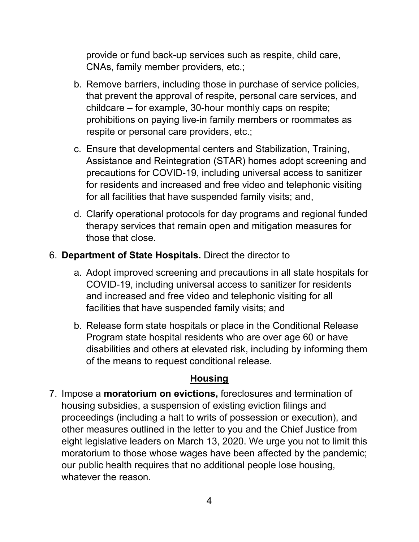provide or fund back-up services such as respite, child care, CNAs, family member providers, etc.;

- b. Remove barriers, including those in purchase of service policies, that prevent the approval of respite, personal care services, and childcare – for example, 30-hour monthly caps on respite; prohibitions on paying live-in family members or roommates as respite or personal care providers, etc.;
- c. Ensure that developmental centers and Stabilization, Training, Assistance and Reintegration (STAR) homes adopt screening and precautions for COVID-19, including universal access to sanitizer for residents and increased and free video and telephonic visiting for all facilities that have suspended family visits; and,
- d. Clarify operational protocols for day programs and regional funded therapy services that remain open and mitigation measures for those that close.

#### 6. **Department of State Hospitals.** Direct the director to

- a. Adopt improved screening and precautions in all state hospitals for COVID-19, including universal access to sanitizer for residents and increased and free video and telephonic visiting for all facilities that have suspended family visits; and
- b. Release form state hospitals or place in the Conditional Release Program state hospital residents who are over age 60 or have disabilities and others at elevated risk, including by informing them of the means to request conditional release.

#### **Housing**

7. Impose a **moratorium on evictions,** foreclosures and termination of housing subsidies, a suspension of existing eviction filings and proceedings (including a halt to writs of possession or execution), and other measures outlined in the letter to you and the Chief Justice from eight legislative leaders on March 13, 2020. We urge you not to limit this moratorium to those whose wages have been affected by the pandemic; our public health requires that no additional people lose housing, whatever the reason.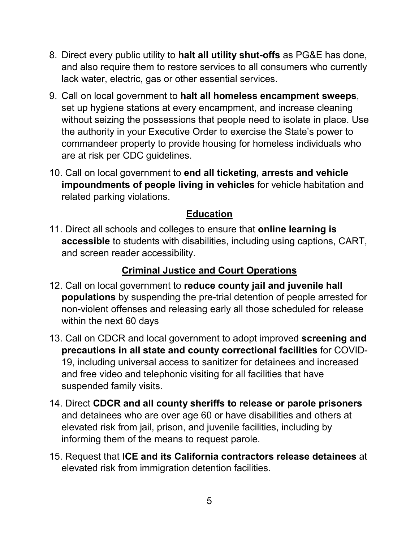- 8. Direct every public utility to **halt all utility shut-offs** as PG&E has done, and also require them to restore services to all consumers who currently lack water, electric, gas or other essential services.
- 9. Call on local government to **halt all homeless encampment sweeps**, set up hygiene stations at every encampment, and increase cleaning without seizing the possessions that people need to isolate in place. Use the authority in your Executive Order to exercise the State's power to commandeer property to provide housing for homeless individuals who are at risk per CDC guidelines.
- 10. Call on local government to **end all ticketing, arrests and vehicle impoundments of people living in vehicles** for vehicle habitation and related parking violations.

## **Education**

11. Direct all schools and colleges to ensure that **online learning is accessible** to students with disabilities, including using captions, CART, and screen reader accessibility.

## **Criminal Justice and Court Operations**

- 12. Call on local government to **reduce county jail and juvenile hall populations** by suspending the pre-trial detention of people arrested for non-violent offenses and releasing early all those scheduled for release within the next 60 days
- 13. Call on CDCR and local government to adopt improved **screening and precautions in all state and county correctional facilities** for COVID-19, including universal access to sanitizer for detainees and increased and free video and telephonic visiting for all facilities that have suspended family visits.
- 14. Direct **CDCR and all county sheriffs to release or parole prisoners** and detainees who are over age 60 or have disabilities and others at elevated risk from jail, prison, and juvenile facilities, including by informing them of the means to request parole.
- 15. Request that **ICE and its California contractors release detainees** at elevated risk from immigration detention facilities.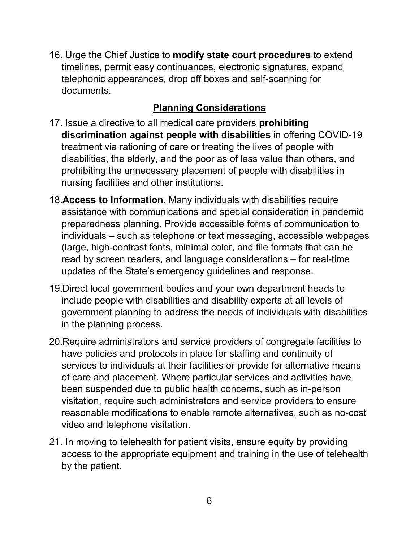16. Urge the Chief Justice to **modify state court procedures** to extend timelines, permit easy continuances, electronic signatures, expand telephonic appearances, drop off boxes and self-scanning for documents.

# **Planning Considerations**

- 17. Issue a directive to all medical care providers **prohibiting discrimination against people with disabilities** in offering COVID-19 treatment via rationing of care or treating the lives of people with disabilities, the elderly, and the poor as of less value than others, and prohibiting the unnecessary placement of people with disabilities in nursing facilities and other institutions.
- 18.**Access to Information.** Many individuals with disabilities require assistance with communications and special consideration in pandemic preparedness planning. Provide accessible forms of communication to individuals – such as telephone or text messaging, accessible webpages (large, high-contrast fonts, minimal color, and file formats that can be read by screen readers, and language considerations – for real-time updates of the State's emergency guidelines and response.
- 19.Direct local government bodies and your own department heads to include people with disabilities and disability experts at all levels of government planning to address the needs of individuals with disabilities in the planning process.
- 20.Require administrators and service providers of congregate facilities to have policies and protocols in place for staffing and continuity of services to individuals at their facilities or provide for alternative means of care and placement. Where particular services and activities have been suspended due to public health concerns, such as in-person visitation, require such administrators and service providers to ensure reasonable modifications to enable remote alternatives, such as no-cost video and telephone visitation.
- 21. In moving to telehealth for patient visits, ensure equity by providing access to the appropriate equipment and training in the use of telehealth by the patient.